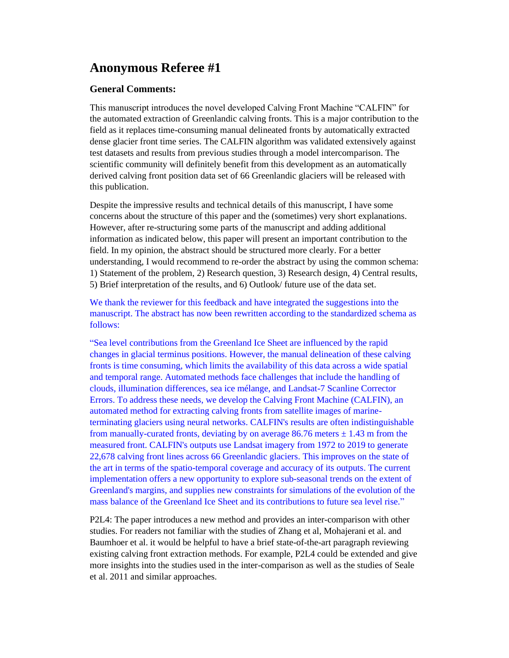## **Anonymous Referee #1**

## **General Comments:**

This manuscript introduces the novel developed Calving Front Machine "CALFIN" for the automated extraction of Greenlandic calving fronts. This is a major contribution to the field as it replaces time-consuming manual delineated fronts by automatically extracted dense glacier front time series. The CALFIN algorithm was validated extensively against test datasets and results from previous studies through a model intercomparison. The scientific community will definitely benefit from this development as an automatically derived calving front position data set of 66 Greenlandic glaciers will be released with this publication.

Despite the impressive results and technical details of this manuscript, I have some concerns about the structure of this paper and the (sometimes) very short explanations. However, after re-structuring some parts of the manuscript and adding additional information as indicated below, this paper will present an important contribution to the field. In my opinion, the abstract should be structured more clearly. For a better understanding, I would recommend to re-order the abstract by using the common schema: 1) Statement of the problem, 2) Research question, 3) Research design, 4) Central results, 5) Brief interpretation of the results, and 6) Outlook/ future use of the data set.

We thank the reviewer for this feedback and have integrated the suggestions into the manuscript. The abstract has now been rewritten according to the standardized schema as follows:

"Sea level contributions from the Greenland Ice Sheet are influenced by the rapid changes in glacial terminus positions. However, the manual delineation of these calving fronts is time consuming, which limits the availability of this data across a wide spatial and temporal range. Automated methods face challenges that include the handling of clouds, illumination differences, sea ice mélange, and Landsat-7 Scanline Corrector Errors. To address these needs, we develop the Calving Front Machine (CALFIN), an automated method for extracting calving fronts from satellite images of marineterminating glaciers using neural networks. CALFIN's results are often indistinguishable from manually-curated fronts, deviating by on average 86.76 meters  $\pm$  1.43 m from the measured front. CALFIN's outputs use Landsat imagery from 1972 to 2019 to generate 22,678 calving front lines across 66 Greenlandic glaciers. This improves on the state of the art in terms of the spatio-temporal coverage and accuracy of its outputs. The current implementation offers a new opportunity to explore sub-seasonal trends on the extent of Greenland's margins, and supplies new constraints for simulations of the evolution of the mass balance of the Greenland Ice Sheet and its contributions to future sea level rise."

P2L4: The paper introduces a new method and provides an inter-comparison with other studies. For readers not familiar with the studies of Zhang et al, Mohajerani et al. and Baumhoer et al. it would be helpful to have a brief state-of-the-art paragraph reviewing existing calving front extraction methods. For example, P2L4 could be extended and give more insights into the studies used in the inter-comparison as well as the studies of Seale et al. 2011 and similar approaches.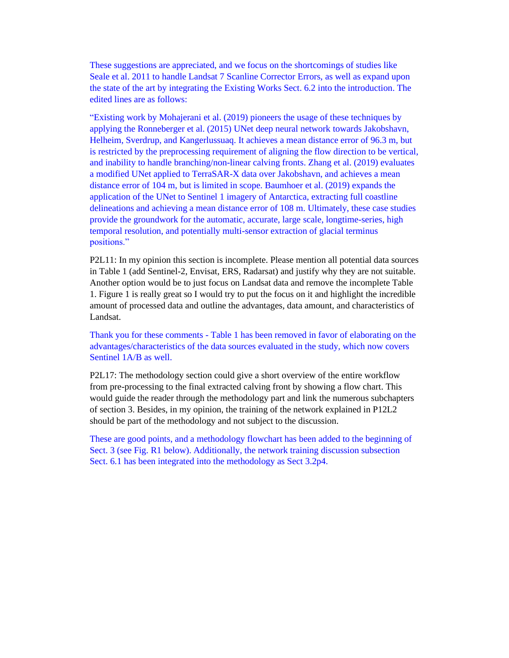These suggestions are appreciated, and we focus on the shortcomings of studies like Seale et al. 2011 to handle Landsat 7 Scanline Corrector Errors, as well as expand upon the state of the art by integrating the Existing Works Sect. 6.2 into the introduction. The edited lines are as follows:

"Existing work by Mohajerani et al. (2019) pioneers the usage of these techniques by applying the Ronneberger et al. (2015) UNet deep neural network towards Jakobshavn, Helheim, Sverdrup, and Kangerlussuaq. It achieves a mean distance error of 96.3 m, but is restricted by the preprocessing requirement of aligning the flow direction to be vertical, and inability to handle branching/non-linear calving fronts. Zhang et al. (2019) evaluates a modified UNet applied to TerraSAR-X data over Jakobshavn, and achieves a mean distance error of 104 m, but is limited in scope. Baumhoer et al. (2019) expands the application of the UNet to Sentinel 1 imagery of Antarctica, extracting full coastline delineations and achieving a mean distance error of 108 m. Ultimately, these case studies provide the groundwork for the automatic, accurate, large scale, longtime-series, high temporal resolution, and potentially multi-sensor extraction of glacial terminus positions."

P2L11: In my opinion this section is incomplete. Please mention all potential data sources in Table 1 (add Sentinel-2, Envisat, ERS, Radarsat) and justify why they are not suitable. Another option would be to just focus on Landsat data and remove the incomplete Table 1. Figure 1 is really great so I would try to put the focus on it and highlight the incredible amount of processed data and outline the advantages, data amount, and characteristics of Landsat.

Thank you for these comments - Table 1 has been removed in favor of elaborating on the advantages/characteristics of the data sources evaluated in the study, which now covers Sentinel 1A/B as well.

P2L17: The methodology section could give a short overview of the entire workflow from pre-processing to the final extracted calving front by showing a flow chart. This would guide the reader through the methodology part and link the numerous subchapters of section 3. Besides, in my opinion, the training of the network explained in P12L2 should be part of the methodology and not subject to the discussion.

These are good points, and a methodology flowchart has been added to the beginning of Sect. 3 (see Fig. R1 below). Additionally, the network training discussion subsection Sect. 6.1 has been integrated into the methodology as Sect 3.2p4.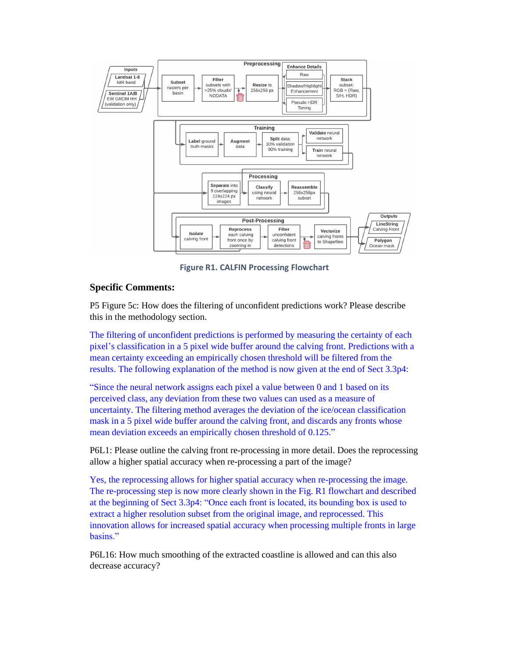

**Figure R1. CALFIN Processing Flowchart**

## **Specific Comments:**

P5 Figure 5c: How does the filtering of unconfident predictions work? Please describe this in the methodology section.

The filtering of unconfident predictions is performed by measuring the certainty of each pixel's classification in a 5 pixel wide buffer around the calving front. Predictions with a mean certainty exceeding an empirically chosen threshold will be filtered from the results. The following explanation of the method is now given at the end of Sect 3.3p4:

"Since the neural network assigns each pixel a value between 0 and 1 based on its perceived class, any deviation from these two values can used as a measure of uncertainty. The filtering method averages the deviation of the ice/ocean classification mask in a 5 pixel wide buffer around the calving front, and discards any fronts whose mean deviation exceeds an empirically chosen threshold of 0.125."

P6L1: Please outline the calving front re-processing in more detail. Does the reprocessing allow a higher spatial accuracy when re-processing a part of the image?

Yes, the reprocessing allows for higher spatial accuracy when re-processing the image. The re-processing step is now more clearly shown in the Fig. R1 flowchart and described at the beginning of Sect 3.3p4: "Once each front is located, its bounding box is used to extract a higher resolution subset from the original image, and reprocessed. This innovation allows for increased spatial accuracy when processing multiple fronts in large basins."

P6L16: How much smoothing of the extracted coastline is allowed and can this also decrease accuracy?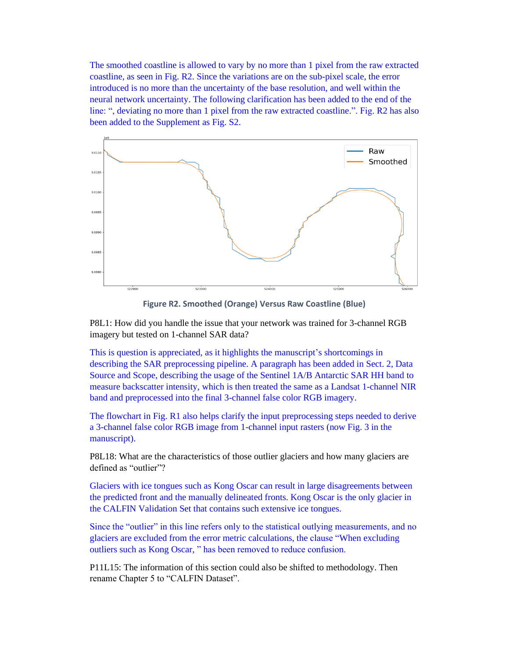The smoothed coastline is allowed to vary by no more than 1 pixel from the raw extracted coastline, as seen in Fig. R2. Since the variations are on the sub-pixel scale, the error introduced is no more than the uncertainty of the base resolution, and well within the neural network uncertainty. The following clarification has been added to the end of the line: ", deviating no more than 1 pixel from the raw extracted coastline.". Fig. R2 has also been added to the Supplement as Fig. S2.



**Figure R2. Smoothed (Orange) Versus Raw Coastline (Blue)**

P8L1: How did you handle the issue that your network was trained for 3-channel RGB imagery but tested on 1-channel SAR data?

This is question is appreciated, as it highlights the manuscript's shortcomings in describing the SAR preprocessing pipeline. A paragraph has been added in Sect. 2, Data Source and Scope, describing the usage of the Sentinel 1A/B Antarctic SAR HH band to measure backscatter intensity, which is then treated the same as a Landsat 1-channel NIR band and preprocessed into the final 3-channel false color RGB imagery.

The flowchart in Fig. R1 also helps clarify the input preprocessing steps needed to derive a 3-channel false color RGB image from 1-channel input rasters (now Fig. 3 in the manuscript).

P8L18: What are the characteristics of those outlier glaciers and how many glaciers are defined as "outlier"?

Glaciers with ice tongues such as Kong Oscar can result in large disagreements between the predicted front and the manually delineated fronts. Kong Oscar is the only glacier in the CALFIN Validation Set that contains such extensive ice tongues.

Since the "outlier" in this line refers only to the statistical outlying measurements, and no glaciers are excluded from the error metric calculations, the clause "When excluding outliers such as Kong Oscar, " has been removed to reduce confusion.

P11L15: The information of this section could also be shifted to methodology. Then rename Chapter 5 to "CALFIN Dataset".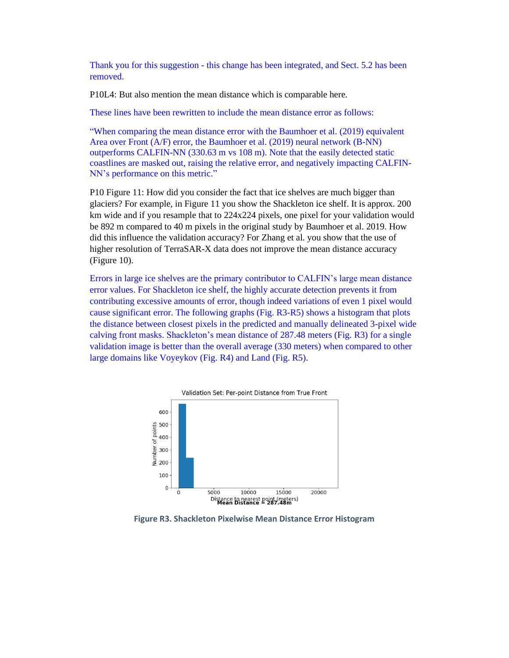Thank you for this suggestion - this change has been integrated, and Sect. 5.2 has been removed.

P10L4: But also mention the mean distance which is comparable here.

These lines have been rewritten to include the mean distance error as follows:

"When comparing the mean distance error with the Baumhoer et al. (2019) equivalent Area over Front (A/F) error, the Baumhoer et al. (2019) neural network (B-NN) outperforms CALFIN-NN (330.63 m vs 108 m). Note that the easily detected static coastlines are masked out, raising the relative error, and negatively impacting CALFIN-NN's performance on this metric."

P10 Figure 11: How did you consider the fact that ice shelves are much bigger than glaciers? For example, in Figure 11 you show the Shackleton ice shelf. It is approx. 200 km wide and if you resample that to 224x224 pixels, one pixel for your validation would be 892 m compared to 40 m pixels in the original study by Baumhoer et al. 2019. How did this influence the validation accuracy? For Zhang et al. you show that the use of higher resolution of TerraSAR-X data does not improve the mean distance accuracy (Figure 10).

Errors in large ice shelves are the primary contributor to CALFIN's large mean distance error values. For Shackleton ice shelf, the highly accurate detection prevents it from contributing excessive amounts of error, though indeed variations of even 1 pixel would cause significant error. The following graphs (Fig. R3-R5) shows a histogram that plots the distance between closest pixels in the predicted and manually delineated 3-pixel wide calving front masks. Shackleton's mean distance of 287.48 meters (Fig. R3) for a single validation image is better than the overall average (330 meters) when compared to other large domains like Voyeykov (Fig. R4) and Land (Fig. R5).



**Figure R3. Shackleton Pixelwise Mean Distance Error Histogram**